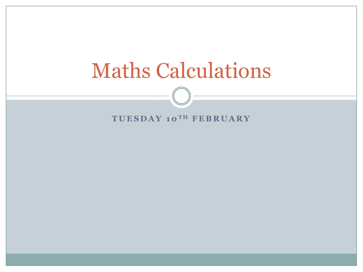

### $T **UESDAY**$  10<sup>TH</sup> FEBRUARY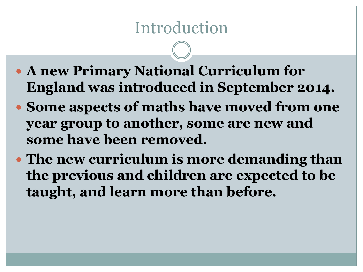## Introduction

- **A new Primary National Curriculum for England was introduced in September 2014.**
- **Some aspects of maths have moved from one year group to another, some are new and some have been removed.**
- **The new curriculum is more demanding than the previous and children are expected to be taught, and learn more than before.**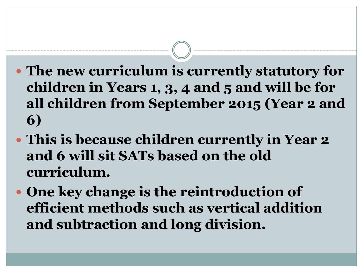- **The new curriculum is currently statutory for children in Years 1, 3, 4 and 5 and will be for all children from September 2015 (Year 2 and 6)**
- **This is because children currently in Year 2 and 6 will sit SATs based on the old curriculum.**
- **One key change is the reintroduction of efficient methods such as vertical addition and subtraction and long division.**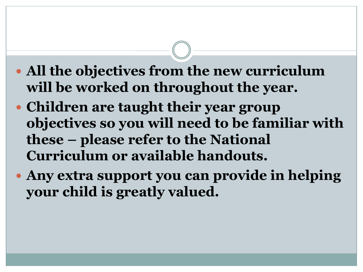- **All the objectives from the new curriculum will be worked on throughout the year.**
- **Children are taught their year group objectives so you will need to be familiar with these – please refer to the National Curriculum or available handouts.**
- **Any extra support you can provide in helping your child is greatly valued.**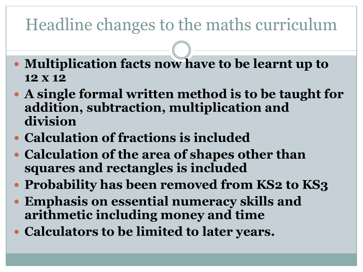## Headline changes to the maths curriculum

- **Multiplication facts now have to be learnt up to 12 x 12**
- **A single formal written method is to be taught for addition, subtraction, multiplication and division**
- **Calculation of fractions is included**
- **Calculation of the area of shapes other than squares and rectangles is included**
- **Probability has been removed from KS2 to KS3**
- **Emphasis on essential numeracy skills and arithmetic including money and time**
- **Calculators to be limited to later years.**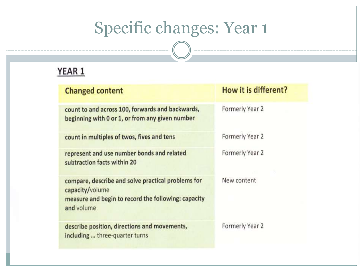### YEAR 1

| <b>Changed content</b>                                                                                                                     | How it is different? |
|--------------------------------------------------------------------------------------------------------------------------------------------|----------------------|
| count to and across 100, forwards and backwards,<br>beginning with 0 or 1, or from any given number                                        | Formerly Year 2      |
| count in multiples of twos, fives and tens                                                                                                 | Formerly Year 2      |
| represent and use number bonds and related<br>subtraction facts within 20                                                                  | Formerly Year 2      |
| compare, describe and solve practical problems for<br>capacity/volume<br>measure and begin to record the following: capacity<br>and volume | New content          |
| describe position, directions and movements,<br>including  three-quarter turns                                                             | Formerly Year 2      |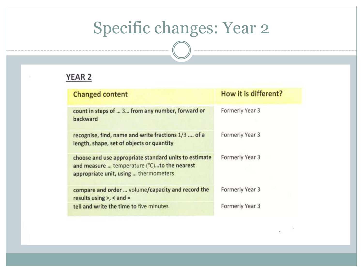### YEAR 2

| <b>Changed content</b>                                                                                                                        | How it is different? |
|-----------------------------------------------------------------------------------------------------------------------------------------------|----------------------|
| count in steps of  3 from any number, forward or<br>backward                                                                                  | Formerly Year 3      |
| recognise, find, name and write fractions 1/3  of a<br>length, shape, set of objects or quantity                                              | Formerly Year 3      |
| choose and use appropriate standard units to estimate<br>and measure  temperature (°C)to the nearest<br>appropriate unit, using  thermometers | Formerly Year 3      |
| compare and order  volume/capacity and record the<br>results using $>$ , < and =                                                              | Formerly Year 3      |
| tell and write the time to five minutes                                                                                                       | Formerly Year 3      |

 $\kappa$  .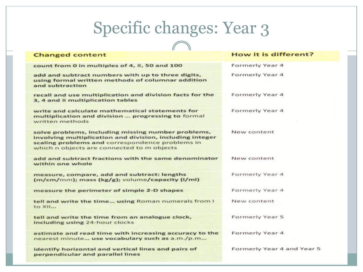#### **Changed content**

count from 0 in multiples of 4, 8, 50 and 100

add and subtract numbers with up to three digits, using formal written methods of columnar addition and subtraction

recall and use multiplication and division facts for the 3, 4 and 8 multiplication tables

write and calculate mathematical statements for multiplication and division ... progressing to formal written methods

solve problems, including missing number problems, involving multiplication and division, including integer scaling problems and correspondence problems in which n objects are connected to m objects

add and subtract fractions with the same denominator within one whole

measure, compare, add and subtract: lengths (m/cm/mm); mass (kg/g); volume/capacity (l/ml)

measure the perimeter of simple 2-D shapes

tell and write the time... using Roman numerals from I to XII...

tell and write the time from an analogue clock, including using 24-hour clocks

estimate and read time with increasing accuracy to the nearest minute... use vocabulary such as a.m./p.m...

identify horizontal and vertical lines and pairs of perpendicular and parallel lines

#### How it is different?

Formerly Year 4

Formerly Year 4

Formerly Year 4

Formerly Year 4

New content

New content

Formerly Year 4

Formerly Year 4

New content

Formerly Year 5

Formerly Year 4

Formerly Year 4 and Year 5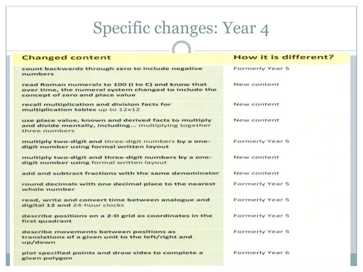#### **Changed content**

count backwards through zero to include negative numbers

read Roman numerals to 100 (I to C) and know that over time, the numeral system changed to include the concept of zero and place value

recall multiplication and division facts for multiplication tables up to 12x12

use place value, known and derived facts to multiply and divide mentally, including... multiplying together three numbers

multiply two-digit and three-digit numbers by a onedigit number using formal written layout

multiply two-digit and three-digit numbers by a onedigit number using formal written layout

add and subtract fractions with the same denominator

round decimals with one decimal place to the nearest whole number

read, write and convert time between analogue and digital 12 and 24-hour clocks

describe positions on a 2-D grid as coordinates in the first quadrant

describe movements between positions as translations of a given unit to the left/right and up/down

plot specified points and draw sides to complete a given polygon

#### How it is different?

Formerly Year 5

New content

New content

New content

Formerly Year 5

New content

New content

Formerly Year 5

Formerly Year 5

Formerly Year 5

Formerly Year 5

Formerly Year 6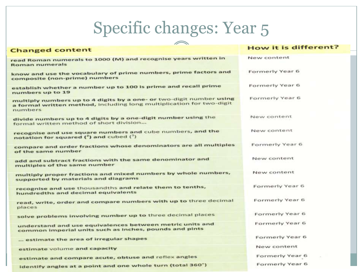| $\curvearrowleft$                                                                                                                                      |                      |
|--------------------------------------------------------------------------------------------------------------------------------------------------------|----------------------|
| <b>Changed content</b>                                                                                                                                 | How it is different? |
| read Roman numerals to 1000 (M) and recognise years written in<br>Roman numerals                                                                       | New content          |
| know and use the vocabulary of prime numbers, prime factors and<br>composite (non-prime) numbers                                                       | Formerly Year 6      |
| establish whether a number up to 100 is prime and recall prime<br>numbers up to 19                                                                     | Formerly Year 6      |
| multiply numbers up to 4 digits by a one- or two-digit number using<br>a formal written method, including long multiplication for two-digit<br>numbers | Formerly Year 6      |
| divide numbers up to 4 digits by a one-digit number using the<br>formal written method of short division                                               | New content          |
| recognise and use square numbers and cube numbers, and the<br>notation for squared $(^2)$ and cubed $(^3)$                                             | New content          |
| compare and order fractions whose denominators are all multiples<br>of the same number                                                                 | Formerly Year 6      |
| add and subtract fractions with the same denominator and<br>multiples of the same number                                                               | New content          |
| multiply proper fractions and mixed numbers by whole numbers,<br>supported by materials and diagrams                                                   | New content          |
| recognise and use thousandths and relate them to tenths,<br>hundredths and decimal equivalents                                                         | Formerly Year 6      |
| read, write, order and compare numbers with up to three decimal<br>places                                                                              | Formerly Year 6      |
| solve problems involving number up to three decimal places                                                                                             | Formerly Year 6      |
| understand and use equivalences between metric units and<br>common imperial units such as inches, pounds and pints                                     | Formerly Year 6      |
| estimate the area of irregular shapes                                                                                                                  | Formerly Year 6      |
| estimate volume and capacity                                                                                                                           | New content          |
| estimate and compare acute, obtuse and reflex angles                                                                                                   | Formerly Year 6      |
| identify angles at a point and one whole turn (total 360")                                                                                             | Formerly Year 6      |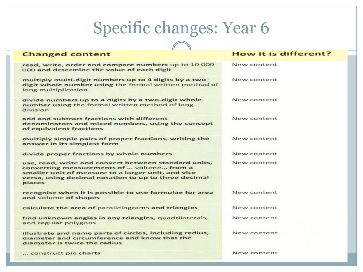| <b>Changed content</b>                                                                                                                                                                                                    | How it is different? |  |
|---------------------------------------------------------------------------------------------------------------------------------------------------------------------------------------------------------------------------|----------------------|--|
| read, write, order and compare numbers up to 10 000<br>000 and determine the value of each digit                                                                                                                          | New content          |  |
| multiply multi-digit numbers up to 4 digits by a two-<br>digit whole number using the formal written method of<br>long multiplication                                                                                     | New content          |  |
| divide numbers up to 4 digits by a two-digit whole<br>number using the formal written method of long<br>division                                                                                                          | New content          |  |
| add and subtract fractions with different<br>denominators and mixed numbers, using the concept<br>of equivalent fractions                                                                                                 | New content          |  |
| multiply simple pairs of proper fractions, writing the<br>answer in its simplest form                                                                                                                                     | New content          |  |
| divide proper fractions by whole numbers                                                                                                                                                                                  | New content          |  |
| use, read, write and convert between standard units,<br>converting measurements of  volume from a<br>smaller unit of measure to a larger unit, and vice<br>versa, using decimal notation to up to three decimal<br>places | New content          |  |
| recognise when it is possible to use formulae for area<br>and volume of shapes                                                                                                                                            | New content          |  |
| calculate the area of parallelograms and triangles                                                                                                                                                                        | New content          |  |
| find unknown angles in any triangles, quadrilaterals,<br>and regular polygons                                                                                                                                             | New content          |  |
| illustrate and name parts of circles, including radius,<br>diameter and circumference and know that the<br>diameter is twice the radius                                                                                   | New content          |  |
| construct pie charts                                                                                                                                                                                                      | New content          |  |